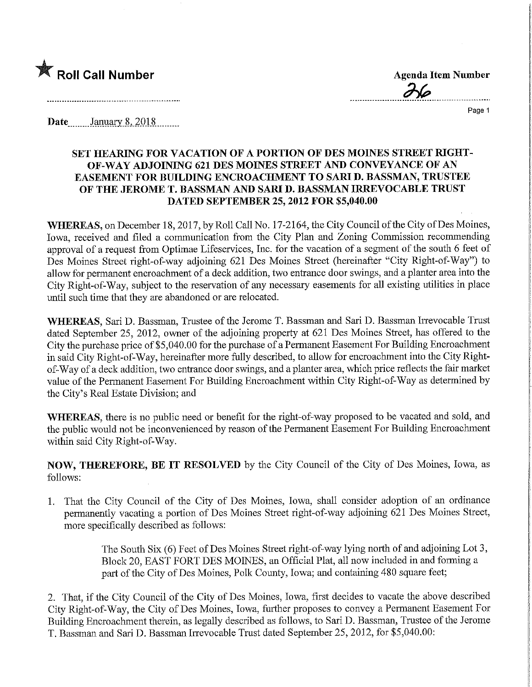

Roll Call Number<br>
Agenda Item Number<br>
Page 1

Page 1

Date.........January 8, 2018.........

## SET HEARING FOR VACATION OF A PORTION OF DES MOINES STREET MGHT-OF-WAY ADJOINING 621 DES MOINES STREET AND CONVEYANCE OF AN EASEMENT FOR BUILDING ENCROACHMENT TO SAM D. BASSMAN, TRUSTEE OF THE JEROME T. BASSMAN AND SAM D. BASSMAN IRREVOCABLE TRUST DATED SEPTEMBER 25, 2012 FOR \$5,040.00

WHEREAS, on December 18, 2017, by Roll Call No. 17-2164, the City Council of the City of Des Moines, Iowa, received and filed a communication from the City Plan and Zoning Commission recommending approval of a request from Optimae Lifeservices, Inc. for the vacation of a segment of the south 6 feet of Des Moines Street right-of-way adjoining 621 Des Moines Street (hereinafter "City Right-of-Way") to allow for permanent encroachment of a deck addition, two entrance door swings, and a planter area into the City Right-of-Way, subject to the reservation of any necessary easements for all existing utilities in place until such time that they are abandoned or are relocated.

WHEREAS, Sari D. Bassman, Trustee of the Jerome T. Bassman and Sari D. Bassman Irrevocable Trust dated September 25, 2012, owner of the adjoining property at 621 Des Moines Street, has offered to the City the purchase price of \$5,040.00 for the purchase of a Permanent Easement For Building Encroachment in said City Right-of-Way, hereinafter more fully described, to allow for encroachment into the City Rightof-Way of a deck addition, two entrance door swings, and a planter area, which price reflects the fair market value of the Permanent Easement For Building Encroachment within City Right-of-Way as determined by the City's Real Estate Division; and

WHEREAS, there is no public need or benefit for the right-of-way proposed to be vacated and sold, and the public would not be inconvenienced by reason of the Permanent Easement For Building Encroachment within said City Right-of-Way.

NOW, THEREFORE, BE IT RESOLVED by the City Council of the City of Des Moines, Iowa, as follows:

1. That the City Council of the City of Des Moines, Iowa, shall consider adoption of an ordinance permanently vacating a portion of Des Moines Street right-of-way adjoining 621 Des Moines Street, more specifically described as follows:

> The South Six (6) Feet of Des Moines Street right-of-way lying north of and adjoining Lot 3, Block 20, EAST FORT DES MOINES, an Official Plat, all now included in and forming a part of the City of Des Moines, Polk County, Iowa; and containing 480 square feet;

2. That, if the City Council of the City of Des Moines, Iowa, first decides to vacate the above described City Right-of-Way, the City of Des Moines, Iowa, further proposes to convey a Permanent Easement For Building Encroachment therein, as legally described as follows, to Sari D. Bassman, Trustee of the Jerome T. Bassman and Sari D. Bassman Irrevocable Trust dated September 25, 2012, for \$5,040.00: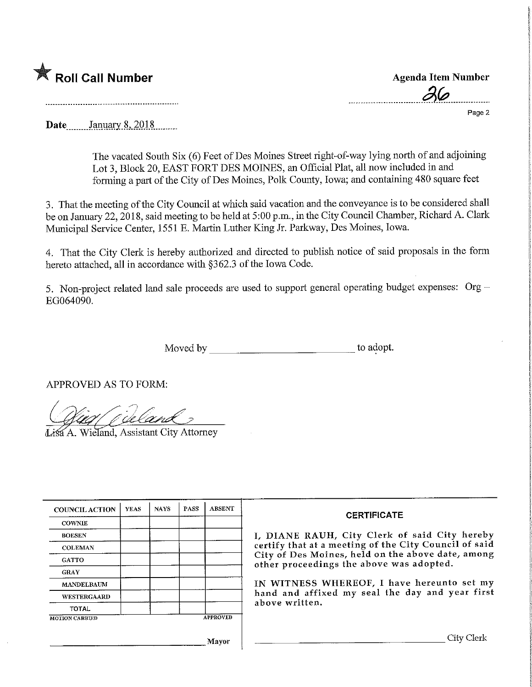## Roll Call Number

Agenda Item Number  $\frac{\partial}{\partial \varphi}$  Page 2

Page 2

Date January 8, 2018

The vacated South Six (6) Feet of Des Moines Street right-of-way lying north of and adjoining Lot 3, Block 20, EAST FORT DES MOINES, an Official Plat, all now included in and forming a part of the City of Des Moines, Polk County, Iowa; and containing 480 square feet

3. That the meeting of the City Council at which said vacation and the conveyance is to be considered shall be on January 22,2018, said meeting to be held at 5:00 p.m., m the City Council Chamber, Richard A. Clark Municipal Service Center, 1551 E. Martin Luther King Jr. Parkway, Des Moines, Iowa.

4. That the City Clerk is hereby authorized and directed to publish notice of said proposals in the form hereto attached, all in accordance with §362.3 of the Iowa Code.

5. Non-project related land sale proceeds are used to support general operating budget expenses:  $Org -$ EG064090.

Moved by to adopt.

APPROVED AS TO FORM:

Wieland, Assistant City Attorney

| <b>COUNCIL ACTION</b> | <b>YEAS</b> | <b>NAYS</b> | <b>PASS</b> | <b>ABSENT</b> |
|-----------------------|-------------|-------------|-------------|---------------|
| <b>COWNIE</b>         |             |             |             |               |
| <b>BOESEN</b>         |             |             |             |               |
| <b>COLEMAN</b>        |             |             |             |               |
| <b>GATTO</b>          |             |             |             |               |
| <b>GRAY</b>           |             |             |             |               |
| <b>MANDELBAUM</b>     |             |             |             |               |
| <b>WESTERGAARD</b>    |             |             |             |               |
| <b>TOTAL</b>          |             |             |             |               |

## Mayor

## CERTIFICATE

I/ DIANE RAUH, City Clerk of said City hereby certify that at a meeting of the City Council of said City of Des Moines, held on the above date, among other proceedings the above was adopted.

IN WITNESS WHEREOF, I have hereunto set my hand and affixed my seal the day and year first above written.

, City Clerk